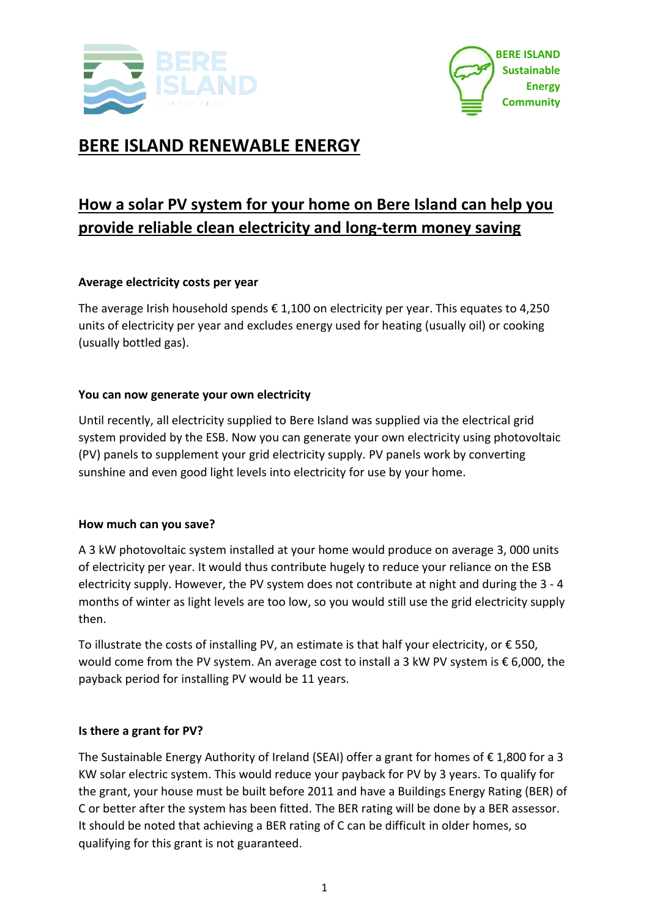



# **BERE ISLAND RENEWABLE ENERGY**

# **How a solar PV system for your home on Bere Island can help you provide reliable clean electricity and long-term money saving**

# **Average electricity costs per year**

The average Irish household spends  $\epsilon$  1,100 on electricity per year. This equates to 4,250 units of electricity per year and excludes energy used for heating (usually oil) or cooking (usually bottled gas).

## **You can now generate your own electricity**

Until recently, all electricity supplied to Bere Island was supplied via the electrical grid system provided by the ESB. Now you can generate your own electricity using photovoltaic (PV) panels to supplement your grid electricity supply. PV panels work by converting sunshine and even good light levels into electricity for use by your home.

#### **How much can you save?**

A 3 kW photovoltaic system installed at your home would produce on average 3, 000 units of electricity per year. It would thus contribute hugely to reduce your reliance on the ESB electricity supply. However, the PV system does not contribute at night and during the 3 - 4 months of winter as light levels are too low, so you would still use the grid electricity supply then.

To illustrate the costs of installing PV, an estimate is that half your electricity, or € 550, would come from the PV system. An average cost to install a 3 kW PV system is € 6,000, the payback period for installing PV would be 11 years.

#### **Is there a grant for PV?**

The Sustainable Energy Authority of Ireland (SEAI) offer a grant for homes of  $\epsilon$  1,800 for a 3 KW solar electric system. This would reduce your payback for PV by 3 years. To qualify for the grant, your house must be built before 2011 and have a Buildings Energy Rating (BER) of C or better after the system has been fitted. The BER rating will be done by a BER assessor. It should be noted that achieving a BER rating of C can be difficult in older homes, so qualifying for this grant is not guaranteed.